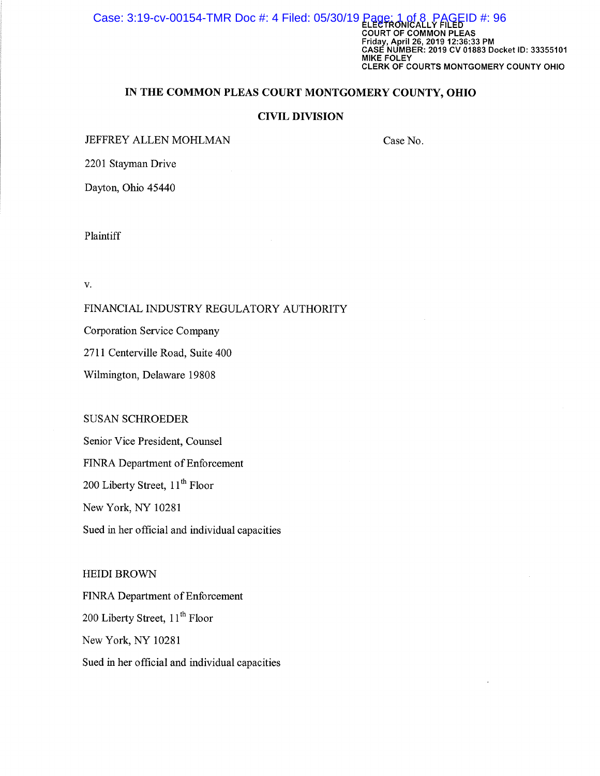Case: 3:19-cv-00154-TMR Doc #: 4 Filed: 05/30/19 Page: 1 of 8, PAGEID #: 96 Faue: 1 Of 8 PAGEID #: 96<br>ELECTRONICALLY FILED<br>COURT OF COMMON PLEAS Friday, April 26, 2019 12:36:33 PM CASE NUMBER: 2019 CV 01883 Docket ID: 33355101 MIKE FOLEY CLERK OF COURTS MONTGOMERY COUNTY OHIO

# IN THE COMMON PLEAS COURT MONTGOMERY COUNTY, OHIO

#### CIVIL DIVISION

JEFFREY ALLEN MOHLMAN

Case No.

2201 Stayman Drive

Dayton, Ohio 45440

Plaintiff

v.

#### FINANCIAL INDUSTRY REGULATORY AUTHORITY

Corporation Service Company

2711 Centerville Road, Suite 400

Wilmington, Delaware 19808

## SUSAN SCHROEDER

Senior Vice President, Counsel FINRA Department of Enforcement 200 Liberty Street, 11<sup>th</sup> Floor New York, NY 10281 Sued in her official and individual capacities

HEIDI BROWN

FINRA Department of Enforcement 200 Liberty Street, 11<sup>th</sup> Floor New York, NY 10281 Sued in her official and individual capacities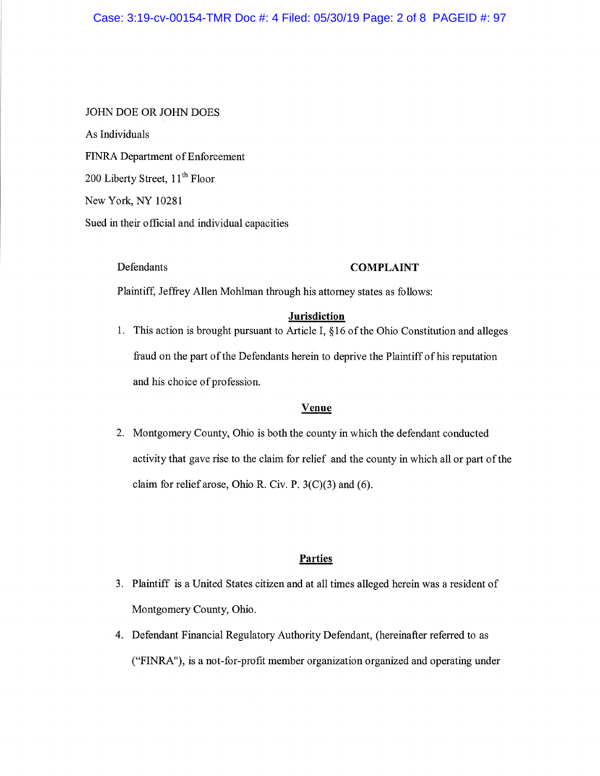## Case: 3:19-cv-00154-TMR Doc #: 4 Filed: 05/30/19 Page: 2 of 8 PAGEID #: 97

#### JOHN DOE OR JOHN DOES

As Individuals FINRA Department of Enforcement 200 Liberty Street, 11<sup>th</sup> Floor New York, NY 10281 Sued in their official and individual capacities

## Defendants COMPLAINT

Plaintiff, Jeffrey Allen Mohlman through his attorney states as follows:

#### **Jurisdiction**

1. This action is brought pursuant to Article I, §16 of the Ohio Constitution and alleges fraud on the part of the Defendants herein to deprive the Plaintiff of his reputation and his choice of profession.

#### Venue

2. Montgomery County, Ohio is both the county in which the defendant conducted activity that gave rise to the claim for relief and the county in which all or part of the claim for relief arose, Ohio R. Civ. P. 3(C)(3) and (6).

#### **Parties**

- 3. Plaintiff is a United States citizen and at all times alleged herein was a resident of Montgomery County, Ohio.
- 4. Defendant Financial Regulatory Authority Defendant, (hereinafter referred to as ("FINRA"), is a not-for-profit member organization organized and operating under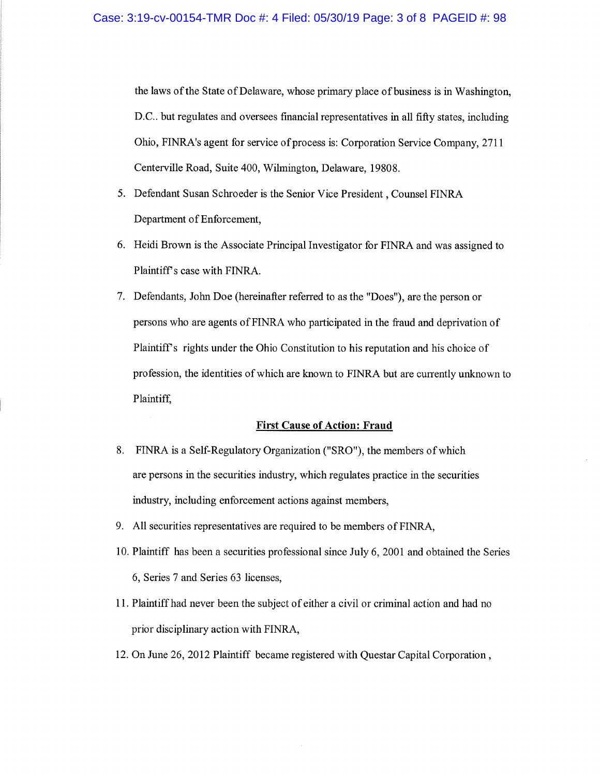the laws of the State of Delaware, whose primary place of business is in Washington, D.C.. but regulates and oversees fmancial representatives in all fifty states, including Ohio, FINRA's agent for service of process is: Corporation Service Company, 2711 Centerville Road, Suite 400, Wilmington, Delaware, 19808.

- 5. Defendant Susan Schroeder is the Senior Vice President , Counsel FINRA Department of Enforcement,
- 6. Heidi Brown is the Associate Principal Investigator for FINRA and was assigned to Plaintiff's case with FINRA.
- 7. Defendants, John Doe (hereinafter referred to as the "Does"), are the person or persons who are agents of FINRA who participated in the fraud and deprivation of Plaintiff's rights under the Ohio Constitution to his reputation and his choice of profession, the identities of which are known to FINRA but are currently unknown to Plaintiff,

#### First Cause of Action: Fraud

- 8. FINRA is a Self-Regulatory Organization ("SRO"), the members of which are persons in the securities industry, which regulates practice in the securities industry, including enforcement actions against members,
- 9. All securities representatives are required to be members of FINRA,
- 10. Plaintiff has been a securities professional since July 6, 2001 and obtained the Series 6, Series 7 and Series 63 licenses,
- 1 1. Plaintiff had never been the subject of either a civil or criminal action and had no prior disciplinary action with FINRA,
- 12. On June 26, 2012 Plaintiff became registered with Questar Capital Corporation ,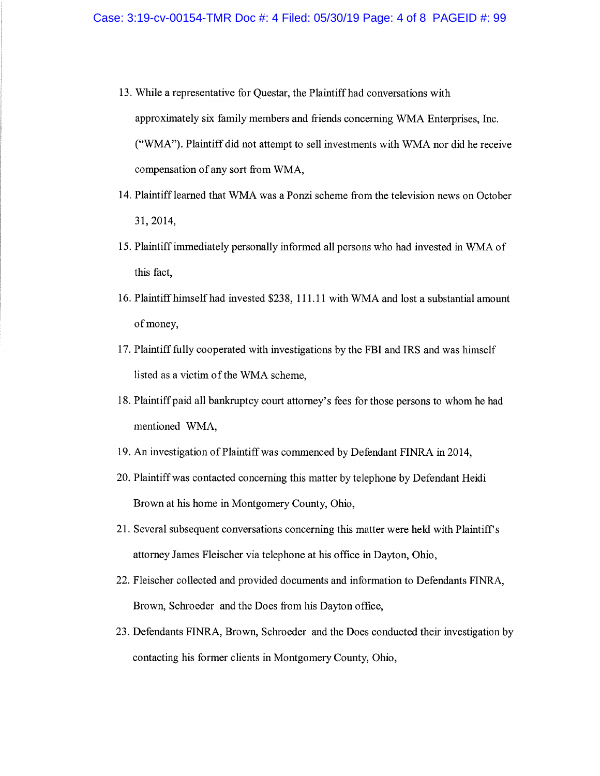- 13. While a representative for Questar, the Plaintiff had conversations with approximately six family members and friends concerning WMA Enterprises, Inc. ("WMA"). Plaintiff did not attempt to sell investments with WMA nor did he receive compensation of any sort from WMA,
- 14. Plaintiff learned that WMA was a Ponzi scheme from the television news on October 31, 2014,
- 15. Plaintiff immediately personally informed all persons who had invested in WMA of this fact,
- 16. Plaintiff himself had invested \$238, 111.11 with WMA and lost a substantial amount of money,
- 17. Plaintiff fully cooperated with investigations by the FBI and IRS and was himself listed as a victim of the WMA scheme,
- 18. Plaintiff paid all bankruptcy court attorney's fees for those persons to whom he had mentioned WMA,
- 19. An investigation of Plaintiff was commenced by Defendant FINRA in 2014,
- 20. Plaintiff was contacted concerning this matter by telephone by Defendant Heidi Brown at his home in Montgomery County, Ohio,
- 21. Several subsequent conversations concerning this matter were held with Plaintiff's attorney James Fleischer via telephone at his office in Dayton, Ohio,
- 22. Fleischer collected and provided documents and information to Defendants FINRA, Brown, Schroeder and the Does from his Dayton office,
- 23. Defendants FINRA, Brown, Schroeder and the Does conducted their investigation by contacting his former clients in Montgomery County, Ohio,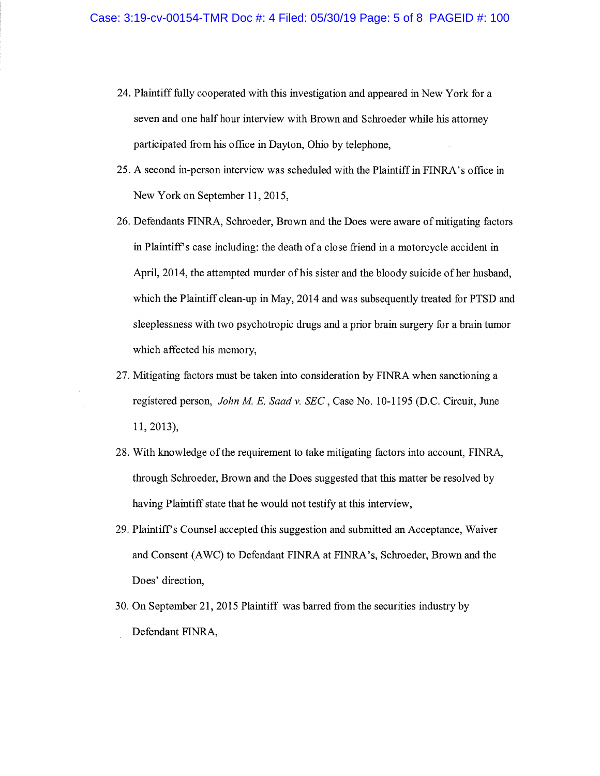- 24. Plaintiff fully cooperated with this investigation and appeared in New York for a seven and one half hour interview with Brown and Schroeder while his attorney participated from his office in Dayton, Ohio by telephone,
- 25. A second in-person interview was scheduled with the Plaintiff in FINRA's office in New York on September 11, 2015,
- 26. Defendants FINRA, Schroeder, Brown and the Does were aware of mitigating factors in Plaintiff's case including: the death of a close friend in a motorcycle accident in April, 2014, the attempted murder of his sister and the bloody suicide of her husband, which the Plaintiff clean-up in May, 2014 and was subsequently treated for PTSD and sleeplessness with two psychotropic drugs and a prior brain surgery for a brain tumor which affected his memory,
- 27. Mitigating factors must be taken into consideration by FINRA when sanctioning a registered person, John M. E. Saad v. SEC, Case No. 10-1195 (D.C. Circuit, June 11, 2013),
- 28. With knowledge of the requirement to take mitigating factors into account, FINRA, through Schroeder, Brown and the Does suggested that this matter be resolved by having Plaintiff state that he would not testify at this interview,
- 29. Plaintiff's Counsel accepted this suggestion and submitted an Acceptance, Waiver and Consent (AWC) to Defendant FINRA at FINRA's, Schroeder, Brown and the Does' direction,
- 30. On September 21, 2015 Plaintiff was barred from the securities industry by Defendant FINRA,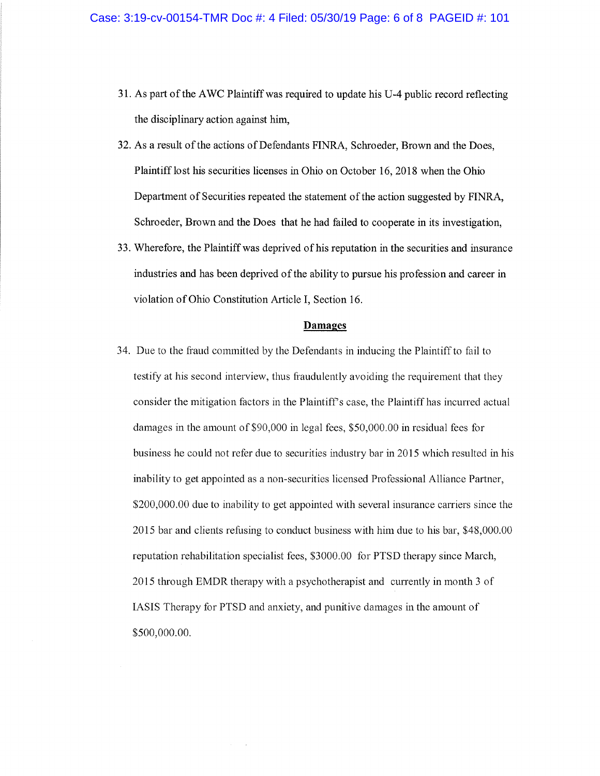- 31. As part of the AWC Plaintiff was required to update his U-4 public record reflecting the disciplinary action against him,
- 32. As a result of the actions of Defendants FINRA, Schroeder, Brown and the Does, Plaintiff lost his securities licenses in Ohio on October 16, 2018 when the Ohio Department of Securities repeated the statement of the action suggested by FINRA, Schroeder, Brown and the Does that he had failed to cooperate in its investigation,
- 33. Wherefore, the Plaintiff was deprived of his reputation in the securities and insurance industries and has been deprived of the ability to pursue his profession and career in violation of Ohio Constitution Article I, Section 16.

#### Damages

34. Due to the fraud committed by the Defendants in inducing the Plaintiff to fail to testify at his second interview, thus fraudulently avoiding the requirement that they consider the mitigation factors in the Plaintiffs case, the Plaintiff has incurred actual damages in the amount of \$90,000 in legal fees, \$50,000.00 in residual fees for business he could not refer due to securities industry bar in 2015 which resulted in his inability to get appointed as a non-securities licensed Professional Alliance Partner, \$200,000.00 due to inability to get appointed with several insurance carriers since the 2015 bar and clients refusing to conduct business with him due to his bar, \$48,000.00 reputation rehabilitation specialist fees, \$3000.00 for PTSD therapy since March, 2015 through EMDR therapy with a psychotherapist and currently in month 3 of IASIS Therapy for PTSD and anxiety, and punitive damages in the amount of \$500,000.00.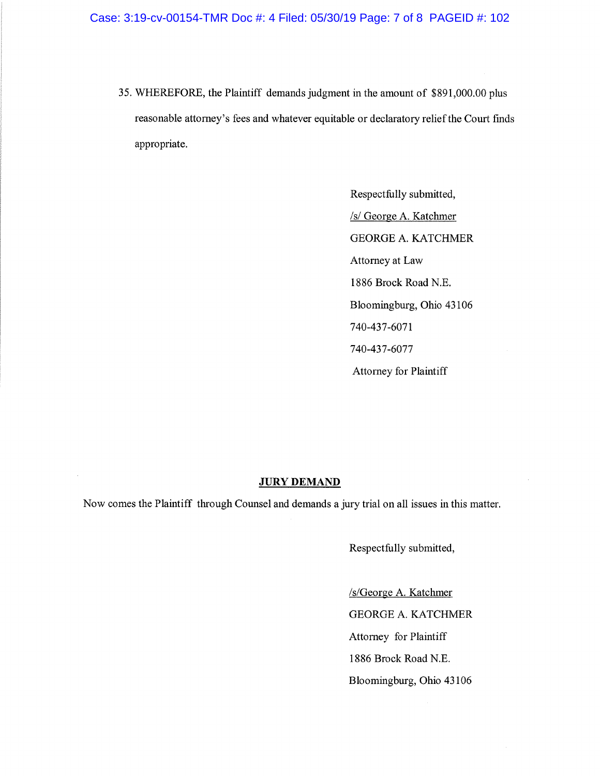35. WHEREFORE, the Plaintiff demands judgment in the amount of \$891,000.00 plus reasonable attorney's fees and whatever equitable or declaratory relief the Court fmds appropriate.

> Respectfully submitted, /s/ George A. Katchmer GEORGE A. KATCHMER Attorney at Law 1886 Brock Road N.E. Bloomingburg, Ohio 43106 740-437-6071 740-437-6077 Attorney for Plaintiff

#### JURY DEMAND

Now comes the Plaintiff through Counsel and demands a jury trial on all issues in this matter.

Respectfully submitted,

/s/George A. Katchmer GEORGE A. KATCHMER Attorney for Plaintiff 1886 Brock Road N.E. Bloomingburg, Ohio 43106